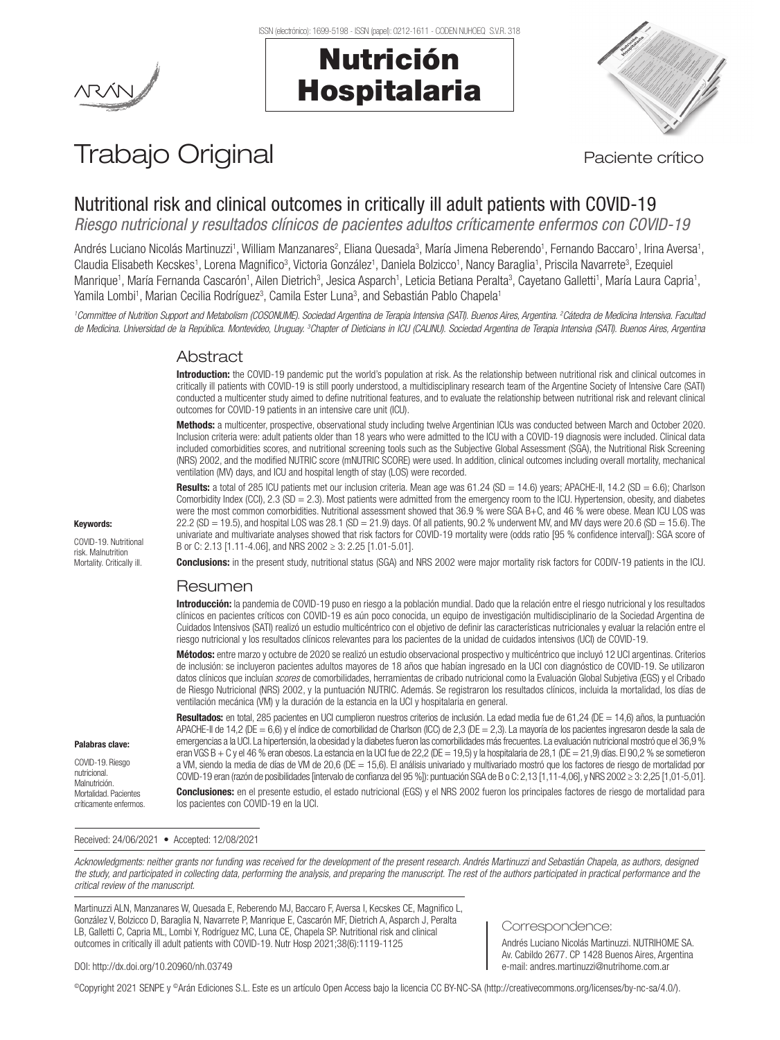#### ISSN (electrónico): 1699-5198 - ISSN (papel): 0212-1611 - CODEN NUHOEQ S.V.R. 318

# Nutrición Hospitalaria



# Trabajo Original en el paciente crítico

# Nutritional risk and clinical outcomes in critically ill adult patients with COVID-19

*Riesgo nutricional y resultados clínicos de pacientes adultos críticamente enfermos con COVID-19*

Andrés Luciano Nicolás Martinuzzi1, William Manzanares<sup>2</sup>, Eliana Quesada<sup>3</sup>, María Jimena Reberendo1, Fernando Baccaro1, Irina Aversa1, Claudia Elisabeth Kecskes1, Lorena Magnifico3, Victoria González1, Daniela Bolzicco1, Nancy Baraglia1, Priscila Navarrete3, Ezequiel Manrique<sup>1</sup>, María Fernanda Cascarón<sup>1</sup>, Ailen Dietrich<sup>3</sup>, Jesica Asparch<sup>1</sup>, Leticia Betiana Peralta<sup>3</sup>, Cayetano Galletti<sup>1</sup>, María Laura Capria<sup>1</sup>, Yamila Lombi<sup>1</sup>, Marian Cecilia Rodríguez<sup>3</sup>, Camila Ester Luna<sup>3</sup>, and Sebastián Pablo Chapela<sup>1</sup>

*1 Committee of Nutrition Support and Metabolism (COSONUME). Sociedad Argentina de Terapia Intensiva (SATI). Buenos Aires, Argentina. 2 Cátedra de Medicina Intensiva. Facultad*  de Medicina. Universidad de la República. Montevideo, Uruguay. <sup>3</sup>Chapter of Dieticians in ICU (CALINU). Sociedad Argentina de Terapia Intensiva (SATI). Buenos Aires, Argentina

### Abstract

Introduction: the COVID-19 pandemic put the world's population at risk. As the relationship between nutritional risk and clinical outcomes in critically ill patients with COVID-19 is still poorly understood, a multidisciplinary research team of the Argentine Society of Intensive Care (SATI) conducted a multicenter study aimed to define nutritional features, and to evaluate the relationship between nutritional risk and relevant clinical outcomes for COVID-19 patients in an intensive care unit (ICU).

Methods: a multicenter, prospective, observational study including twelve Argentinian ICUs was conducted between March and October 2020. Inclusion criteria were: adult patients older than 18 years who were admitted to the ICU with a COVID-19 diagnosis were included. Clinical data included comorbidities scores, and nutritional screening tools such as the Subjective Global Assessment (SGA), the Nutritional Risk Screening (NRS) 2002, and the modified NUTRIC score (mNUTRIC SCORE) were used. In addition, clinical outcomes including overall mortality, mechanical ventilation (MV) days, and ICU and hospital length of stay (LOS) were recorded.

Results: a total of 285 ICU patients met our inclusion criteria. Mean age was 61.24 (SD = 14.6) years; APACHE-II, 14.2 (SD = 6.6); Charlson Comorbidity Index (CCI), 2.3 (SD = 2.3). Most patients were admitted from the emergency room to the ICU. Hypertension, obesity, and diabetes were the most common comorbidities. Nutritional assessment showed that 36.9 % were SGA B+C, and 46 % were obese. Mean ICU LOS was 22.2 (SD = 19.5), and hospital LOS was  $28.1$  (SD = 21.9) days. Of all patients, 90.2 % underwent MV, and MV days were  $20.6$  (SD = 15.6). The univariate and multivariate analyses showed that risk factors for COVID-19 mortality were (odds ratio [95 % confidence interval]): SGA score of B or C: 2.13 [1.11-4.06], and NRS 2002 ≥ 3: 2.25 [1.01-5.01].

Conclusions: in the present study, nutritional status (SGA) and NRS 2002 were major mortality risk factors for CODIV-19 patients in the ICU.

#### Resumen

Introducción: la pandemia de COVID-19 puso en riesgo a la población mundial. Dado que la relación entre el riesgo nutricional y los resultados clínicos en pacientes críticos con COVID-19 es aún poco conocida, un equipo de investigación multidisciplinario de la Sociedad Argentina de Cuidados Intensivos (SATI) realizó un estudio multicéntrico con el objetivo de definir las características nutricionales y evaluar la relación entre el riesgo nutricional y los resultados clínicos relevantes para los pacientes de la unidad de cuidados intensivos (UCI) de COVID-19.

Métodos: entre marzo y octubre de 2020 se realizó un estudio observacional prospectivo y multicéntrico que incluyó 12 UCI argentinas. Criterios de inclusión: se incluyeron pacientes adultos mayores de 18 años que habían ingresado en la UCI con diagnóstico de COVID-19. Se utilizaron datos clínicos que incluían *scores* de comorbilidades, herramientas de cribado nutricional como la Evaluación Global Subjetiva (EGS) y el Cribado de Riesgo Nutricional (NRS) 2002, y la puntuación NUTRIC. Además. Se registraron los resultados clínicos, incluida la mortalidad, los días de ventilación mecánica (VM) y la duración de la estancia en la UCI y hospitalaria en general.

Resultados: en total, 285 pacientes en UCI cumplieron nuestros criterios de inclusión. La edad media fue de 61,24 (DE = 14,6) años, la puntuación APACHE-II de 14,2 (DE = 6,6) y el índice de comorbilidad de Charlson (ICC) de 2,3 (DE = 2,3). La mayoría de los pacientes ingresaron desde la sala de emergencias a la UCI. La hipertensión, la obesidad y la diabetes fueron las comorbilidades más frecuentes. La evaluación nutricional mostró que el 36,9 % eran VGS B + C y el 46 % eran obesos. La estancia en la UCI fue de 22,2 (DE = 19,5) y la hospitalaria de 28,1 (DE = 21,9) días. El 90,2 % se sometieron a VM, siendo la media de días de VM de 20,6 (DE = 15,6). El análisis univariado y multivariado mostró que los factores de riesgo de mortalidad por COVID-19 eran (razón de posibilidades [intervalo de confianza del 95 %]): puntuación SGA de B o C: 2,13 [1,11-4,06], y NRS 2002 ≥ 3: 2,25 [1,01-5,01].

Conclusiones: en el presente estudio, el estado nutricional (EGS) y el NRS 2002 fueron los principales factores de riesgo de mortalidad para los pacientes con COVID-19 en la UCI.

Received: 24/06/2021 • Accepted: 12/08/2021

*Acknowledgments: neither grants nor funding was received for the development of the present research. Andrés Martinuzzi and Sebastián Chapela, as authors, designed*  the study, and participated in collecting data, performing the analysis, and preparing the manuscript. The rest of the authors participated in practical performance and the *critical review of the manuscript.* 

Martinuzzi ALN, Manzanares W, Quesada E, Reberendo MJ, Baccaro F, Aversa I, Kecskes CE, Magnifico L, González V, Bolzicco D, Baraglia N, Navarrete P, Manrique E, Cascarón MF, Dietrich A, Asparch J, Peralta LB, Galletti C, Capria ML, Lombi Y, Rodríguez MC, Luna CE, Chapela SP. Nutritional risk and clinical outcomes in critically ill adult patients with COVID-19. Nutr Hosp 2021;38(6):1119-1125

# Correspondence:

Andrés Luciano Nicolás Martinuzzi. NUTRIHOME SA. Av. Cabildo 2677. CP 1428 Buenos Aires, Argentina e-mail: andres.martinuzzi@nutrihome.com.ar

#### DOI: http://dx.doi.org/10.20960/nh.03749

©Copyright 2021 SENPE y ©Arán Ediciones S.L. Este es un artículo Open Access bajo la licencia CC BY-NC-SA (http://creativecommons.org/licenses/by-nc-sa/4.0/).

#### Keywords:

COVID-19. Nutritional risk. Malnutrition Mortality. Critically ill.

Palabras clave: COVID-19. Riesgo nutricional. Malnutrición. Mortalidad. Pacientes críticamente enfermos.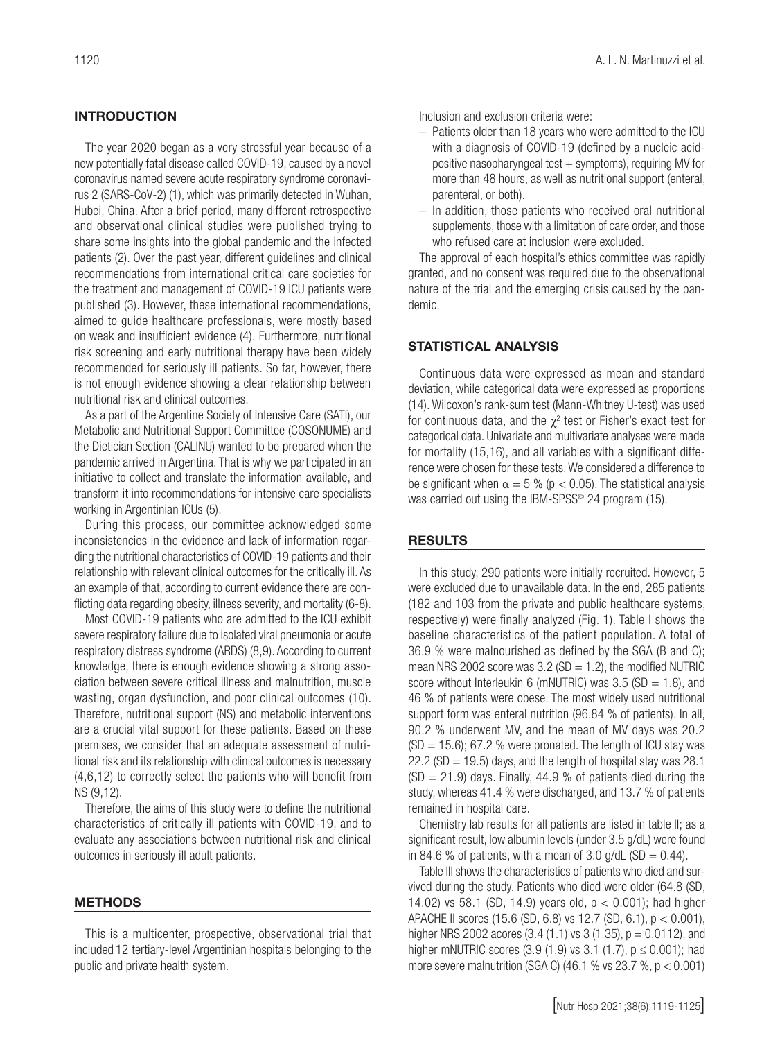# INTRODUCTION

The year 2020 began as a very stressful year because of a new potentially fatal disease called COVID-19, caused by a novel coronavirus named severe acute respiratory syndrome coronavirus 2 (SARS-CoV-2) (1), which was primarily detected in Wuhan, Hubei, China. After a brief period, many different retrospective and observational clinical studies were published trying to share some insights into the global pandemic and the infected patients (2). Over the past year, different guidelines and clinical recommendations from international critical care societies for the treatment and management of COVID-19 ICU patients were published (3). However, these international recommendations, aimed to guide healthcare professionals, were mostly based on weak and insufficient evidence (4). Furthermore, nutritional risk screening and early nutritional therapy have been widely recommended for seriously ill patients. So far, however, there is not enough evidence showing a clear relationship between nutritional risk and clinical outcomes.

As a part of the Argentine Society of Intensive Care (SATI), our Metabolic and Nutritional Support Committee (COSONUME) and the Dietician Section (CALINU) wanted to be prepared when the pandemic arrived in Argentina. That is why we participated in an initiative to collect and translate the information available, and transform it into recommendations for intensive care specialists working in Argentinian ICUs (5).

During this process, our committee acknowledged some inconsistencies in the evidence and lack of information regarding the nutritional characteristics of COVID-19 patients and their relationship with relevant clinical outcomes for the critically ill. As an example of that, according to current evidence there are conflicting data regarding obesity, illness severity, and mortality (6-8).

Most COVID-19 patients who are admitted to the ICU exhibit severe respiratory failure due to isolated viral pneumonia or acute respiratory distress syndrome (ARDS) (8,9). According to current knowledge, there is enough evidence showing a strong association between severe critical illness and malnutrition, muscle wasting, organ dysfunction, and poor clinical outcomes (10). Therefore, nutritional support (NS) and metabolic interventions are a crucial vital support for these patients. Based on these premises, we consider that an adequate assessment of nutritional risk and its relationship with clinical outcomes is necessary (4,6,12) to correctly select the patients who will benefit from NS (9,12).

Therefore, the aims of this study were to define the nutritional characteristics of critically ill patients with COVID-19, and to evaluate any associations between nutritional risk and clinical outcomes in seriously ill adult patients.

### METHODS

This is a multicenter, prospective, observational trial that included 12 tertiary-level Argentinian hospitals belonging to the public and private health system.

Inclusion and exclusion criteria were:

- Patients older than 18 years who were admitted to the ICU with a diagnosis of COVID-19 (defined by a nucleic acidpositive nasopharyngeal test  $+$  symptoms), requiring MV for more than 48 hours, as well as nutritional support (enteral, parenteral, or both).
- In addition, those patients who received oral nutritional supplements, those with a limitation of care order, and those who refused care at inclusion were excluded.

The approval of each hospital's ethics committee was rapidly granted, and no consent was required due to the observational nature of the trial and the emerging crisis caused by the pandemic.

#### STATISTICAL ANALYSIS

Continuous data were expressed as mean and standard deviation, while categorical data were expressed as proportions (14). Wilcoxon's rank-sum test (Mann-Whitney U-test) was used for continuous data, and the  $\chi^2$  test or Fisher's exact test for categorical data. Univariate and multivariate analyses were made for mortality (15,16), and all variables with a significant difference were chosen for these tests. We considered a difference to be significant when  $\alpha = 5$  % (p < 0.05). The statistical analysis was carried out using the IBM-SPSS<sup>®</sup> 24 program (15).

#### RESULTS

In this study, 290 patients were initially recruited. However, 5 were excluded due to unavailable data. In the end, 285 patients (182 and 103 from the private and public healthcare systems, respectively) were finally analyzed (Fig. 1). Table I shows the baseline characteristics of the patient population. A total of 36.9 % were malnourished as defined by the SGA (B and C); mean NRS 2002 score was  $3.2$  (SD = 1.2), the modified NUTRIC score without Interleukin 6 (mNUTRIC) was 3.5 (SD  $=$  1.8), and 46 % of patients were obese. The most widely used nutritional support form was enteral nutrition (96.84 % of patients). In all, 90.2 % underwent MV, and the mean of MV days was 20.2  $(SD = 15.6)$ ; 67.2 % were pronated. The length of ICU stay was 22.2 (SD  $=$  19.5) days, and the length of hospital stay was 28.1  $(SD = 21.9)$  days. Finally, 44.9 % of patients died during the study, whereas 41.4 % were discharged, and 13.7 % of patients remained in hospital care.

Chemistry lab results for all patients are listed in table II; as a significant result, low albumin levels (under 3.5 g/dL) were found in 84.6 % of patients, with a mean of 3.0 g/dL (SD =  $0.44$ ).

Table III shows the characteristics of patients who died and survived during the study. Patients who died were older (64.8 (SD, 14.02) vs 58.1 (SD, 14.9) years old, p < 0.001); had higher APACHE II scores (15.6 (SD, 6.8) vs 12.7 (SD, 6.1), p < 0.001), higher NRS 2002 acores (3.4 (1.1) vs 3 (1.35),  $p = 0.0112$ ), and higher mNUTRIC scores (3.9 (1.9) vs 3.1 (1.7),  $p \le 0.001$ ); had more severe malnutrition (SGA C) (46.1 % vs 23.7 %,  $p < 0.001$ )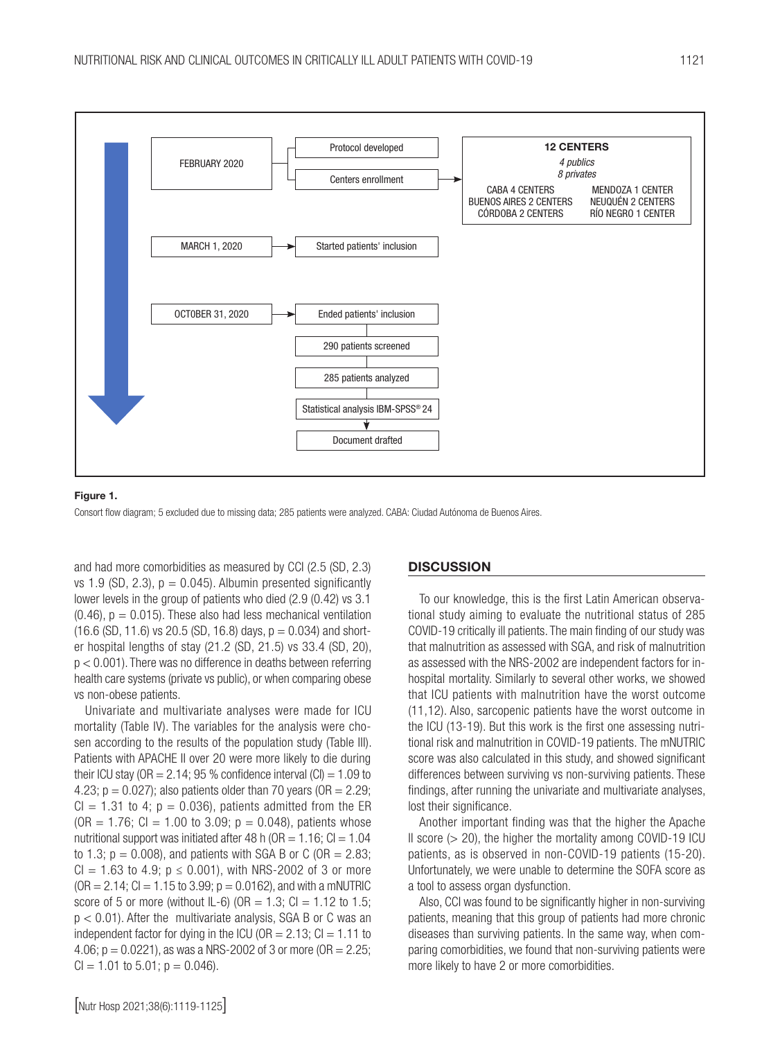

#### Figure 1.

Consort flow diagram; 5 excluded due to missing data; 285 patients were analyzed. CABA: Ciudad Autónoma de Buenos Aires.

and had more comorbidities as measured by CCI (2.5 (SD, 2.3) vs 1.9 (SD, 2.3),  $p = 0.045$ ). Albumin presented significantly lower levels in the group of patients who died (2.9 (0.42) vs 3.1  $(0.46)$ ,  $p = 0.015$ ). These also had less mechanical ventilation  $(16.6 (SD, 11.6)$  vs 20.5 (SD, 16.8) days,  $p = 0.034$ ) and shorter hospital lengths of stay (21.2 (SD, 21.5) vs 33.4 (SD, 20), p < 0.001). There was no difference in deaths between referring health care systems (private vs public), or when comparing obese vs non-obese patients.

Univariate and multivariate analyses were made for ICU mortality (Table IV). The variables for the analysis were chosen according to the results of the population study (Table III). Patients with APACHE II over 20 were more likely to die during their ICU stay (OR  $= 2.14$ ; 95 % confidence interval (CI)  $= 1.09$  to 4.23;  $p = 0.027$ ; also patients older than 70 years (OR = 2.29;  $Cl = 1.31$  to 4;  $p = 0.036$ ), patients admitted from the ER  $(OR = 1.76; Cl = 1.00$  to 3.09;  $p = 0.048$ ), patients whose nutritional support was initiated after 48 h ( $OR = 1.16$ ;  $Cl = 1.04$ to 1.3;  $p = 0.008$ ), and patients with SGA B or C (OR = 2.83;  $Cl = 1.63$  to 4.9;  $p \le 0.001$ ), with NRS-2002 of 3 or more  $(OR = 2.14; Cl = 1.15$  to 3.99;  $p = 0.0162$ ), and with a mNUTRIC score of 5 or more (without IL-6) (OR =  $1.3$ ; CI =  $1.12$  to  $1.5$ ;  $p < 0.01$ ). After the multivariate analysis, SGA B or C was an independent factor for dying in the ICU ( $OR = 2.13$ ;  $Cl = 1.11$  to 4.06;  $p = 0.0221$ ), as was a NRS-2002 of 3 or more (OR = 2.25;  $Cl = 1.01$  to 5.01;  $p = 0.046$ ).

#### **DISCUSSION**

To our knowledge, this is the first Latin American observational study aiming to evaluate the nutritional status of 285 COVID-19 critically ill patients. The main finding of our study was that malnutrition as assessed with SGA, and risk of malnutrition as assessed with the NRS-2002 are independent factors for inhospital mortality. Similarly to several other works, we showed that ICU patients with malnutrition have the worst outcome (11,12). Also, sarcopenic patients have the worst outcome in the ICU (13-19). But this work is the first one assessing nutritional risk and malnutrition in COVID-19 patients. The mNUTRIC score was also calculated in this study, and showed significant differences between surviving vs non-surviving patients. These findings, after running the univariate and multivariate analyses, lost their significance.

Another important finding was that the higher the Apache II score  $(> 20)$ , the higher the mortality among COVID-19 ICU patients, as is observed in non-COVID-19 patients (15-20). Unfortunately, we were unable to determine the SOFA score as a tool to assess organ dysfunction.

Also, CCI was found to be significantly higher in non-surviving patients, meaning that this group of patients had more chronic diseases than surviving patients. In the same way, when comparing comorbidities, we found that non-surviving patients were more likely to have 2 or more comorbidities.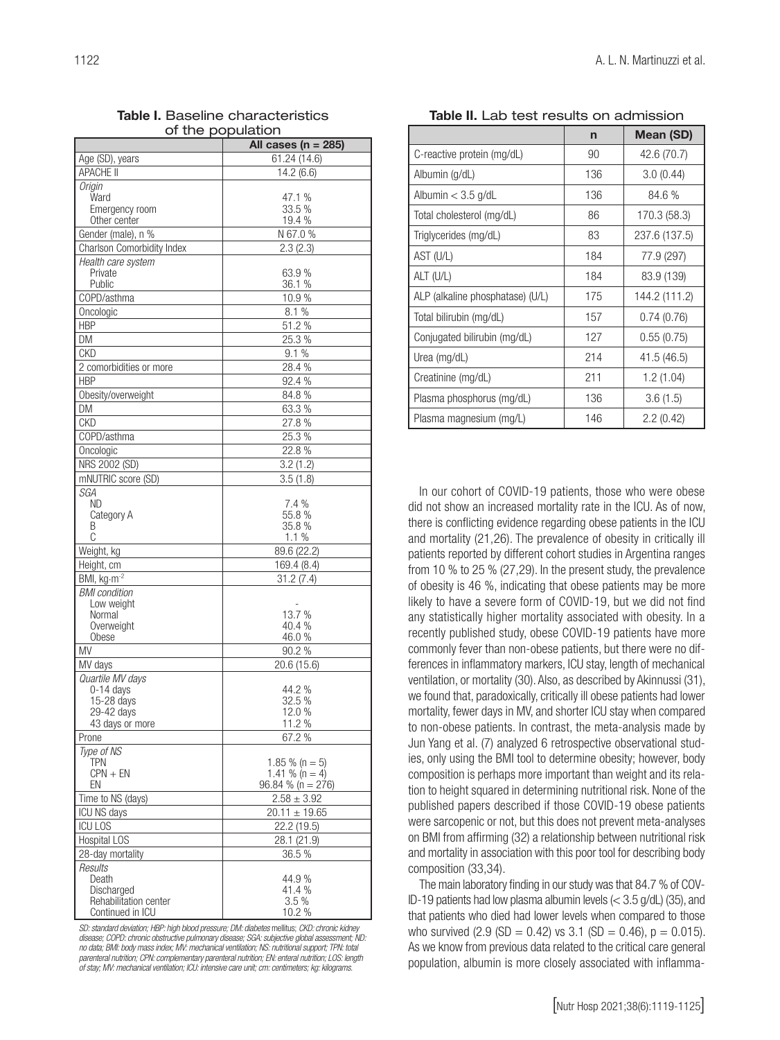| 1122 | A. L. N. Martinuzzi et al. |
|------|----------------------------|
|      |                            |
|      |                            |

| of the population                   |                         |  |  |  |  |
|-------------------------------------|-------------------------|--|--|--|--|
|                                     | All cases ( $n = 285$ ) |  |  |  |  |
| Age (SD), years                     | 61.24 (14.6)            |  |  |  |  |
| <b>APACHE II</b>                    | 14.2(6.6)               |  |  |  |  |
| Origin                              |                         |  |  |  |  |
| Ward                                | 47.1 %                  |  |  |  |  |
| Emergency room                      | 33.5 %                  |  |  |  |  |
| Other center                        | 19.4 %                  |  |  |  |  |
| Gender (male), n %                  | N 67.0 %                |  |  |  |  |
| <b>Charlson Comorbidity Index</b>   | 2.3(2.3)                |  |  |  |  |
| Health care system<br>Private       | 63.9%                   |  |  |  |  |
| Public                              | 36.1 %                  |  |  |  |  |
| COPD/asthma                         | 10.9%                   |  |  |  |  |
| Oncologic                           | 8.1%                    |  |  |  |  |
| <b>HBP</b>                          | 51.2%                   |  |  |  |  |
| DM                                  | 25.3 %                  |  |  |  |  |
| <b>CKD</b>                          | 9.1%                    |  |  |  |  |
| 2 comorbidities or more             | 28.4 %                  |  |  |  |  |
| <b>HBP</b>                          | 92.4%                   |  |  |  |  |
| Obesity/overweight                  | 84.8%                   |  |  |  |  |
| DM                                  | 63.3 %                  |  |  |  |  |
| <b>CKD</b>                          | 27.8%                   |  |  |  |  |
| COPD/asthma                         | 25.3 %                  |  |  |  |  |
|                                     | 22.8%                   |  |  |  |  |
| Oncologic                           |                         |  |  |  |  |
| NRS 2002 (SD)<br>mNUTRIC score (SD) | 3.2(1.2)                |  |  |  |  |
| SGA                                 | 3.5(1.8)                |  |  |  |  |
| ND                                  | 7.4%                    |  |  |  |  |
| Category A                          | 55.8%                   |  |  |  |  |
| В                                   | 35.8 %                  |  |  |  |  |
| C                                   | 1.1%                    |  |  |  |  |
| Weight, kg                          | 89.6 (22.2)             |  |  |  |  |
| Height, cm                          | 169.4 (8.4)             |  |  |  |  |
| BMI, kg·m <sup>-2</sup>             | 31.2(7.4)               |  |  |  |  |
| <b>BMI</b> condition                |                         |  |  |  |  |
| Low weight<br>Normal                | 13.7 %                  |  |  |  |  |
| Overweight                          | 40.4 %                  |  |  |  |  |
| Obese                               | 46.0 %                  |  |  |  |  |
| ΜV                                  | 90.2%                   |  |  |  |  |
| MV days                             | 20.6 (15.6)             |  |  |  |  |
| Quartile MV days                    |                         |  |  |  |  |
| $0-14$ days                         | 44.2%                   |  |  |  |  |
| 15-28 days<br>29-42 days            | 32.5 %<br>12.0 %        |  |  |  |  |
| 43 days or more                     | 11.2 %                  |  |  |  |  |
| Prone                               | 67.2 %                  |  |  |  |  |
| Type of NS                          |                         |  |  |  |  |
| TPN                                 | $1.85\%$ (n = 5)        |  |  |  |  |
| $CPN + EN$                          | 1.41 % $(n = 4)$        |  |  |  |  |
| EN                                  | $96.84 \%$ (n = 276)    |  |  |  |  |
| Time to NS (days)                   | $2.58 \pm 3.92$         |  |  |  |  |
| ICU NS days                         | $20.11 \pm 19.65$       |  |  |  |  |
| <b>ICU LOS</b>                      | 22.2 (19.5)             |  |  |  |  |
| Hospital LOS                        | 28.1 (21.9)             |  |  |  |  |
| 28-day mortality                    | 36.5 %                  |  |  |  |  |
| Results                             |                         |  |  |  |  |
| Death<br>Discharged                 | 44.9%<br>41.4 %         |  |  |  |  |
| Rehabilitation center               | 3.5 %                   |  |  |  |  |
| Continued in ICU                    | 10.2 %                  |  |  |  |  |

Table I. Baseline characteristics

*SD: standard deviation; HBP: high blood pressure; DM: diabetes* mellitus; *CKD: chronic kidney disease; COPD: chronic obstructive pulmonary disease; SGA: subjective global assessment; ND: no data; BMI: body mass index; MV: mechanical ventilation; NS: nutritional support; TPN: total parenteral nutrition; CPN: complementary parenteral nutrition; EN: enteral nutrition; LOS: length of stay; MV: mechanical ventilation; ICU: intensive care unit; cm: centimeters; kg: kilograms.*

Table II. Lab test results on admission

|                                  | $\mathsf{n}$ | Mean (SD)     |
|----------------------------------|--------------|---------------|
| C-reactive protein (mg/dL)       | 90           | 42.6 (70.7)   |
| Albumin (g/dL)                   | 136          | 3.0(0.44)     |
| Albumin $<$ 3.5 g/dL             | 136          | 84.6 %        |
| Total cholesterol (mg/dL)        | 86           | 170.3 (58.3)  |
| Triglycerides (mg/dL)            | 83           | 237.6 (137.5) |
| AST (U/L)                        | 184          | 77.9 (297)    |
| ALT (U/L)                        | 184          | 83.9 (139)    |
| ALP (alkaline phosphatase) (U/L) | 175          | 144.2 (111.2) |
| Total bilirubin (mg/dL)          | 157          | 0.74(0.76)    |
| Conjugated bilirubin (mg/dL)     | 127          | 0.55(0.75)    |
| Urea (mg/dL)                     | 214          | 41.5 (46.5)   |
| Creatinine (mg/dL)               | 211          | 1.2 (1.04)    |
| Plasma phosphorus (mg/dL)        | 136          | 3.6(1.5)      |
| Plasma magnesium (mg/L)          | 146          | 2.2(0.42)     |

In our cohort of COVID-19 patients, those who were obese did not show an increased mortality rate in the ICU. As of now, there is conflicting evidence regarding obese patients in the ICU and mortality (21,26). The prevalence of obesity in critically ill patients reported by different cohort studies in Argentina ranges from 10 % to 25 % (27,29). In the present study, the prevalence of obesity is 46 %, indicating that obese patients may be more likely to have a severe form of COVID-19, but we did not find any statistically higher mortality associated with obesity. In a recently published study, obese COVID-19 patients have more commonly fever than non-obese patients, but there were no differences in inflammatory markers, ICU stay, length of mechanical ventilation, or mortality (30). Also, as described by Akinnussi (31), we found that, paradoxically, critically ill obese patients had lower mortality, fewer days in MV, and shorter ICU stay when compared to non-obese patients. In contrast, the meta-analysis made by Jun Yang et al. (7) analyzed 6 retrospective observational studies, only using the BMI tool to determine obesity; however, body composition is perhaps more important than weight and its relation to height squared in determining nutritional risk. None of the published papers described if those COVID-19 obese patients were sarcopenic or not, but this does not prevent meta-analyses on BMI from affirming (32) a relationship between nutritional risk and mortality in association with this poor tool for describing body composition (33,34).

The main laboratory finding in our study was that 84.7 % of COV-ID-19 patients had low plasma albumin levels (< 3.5 g/dL) (35), and that patients who died had lower levels when compared to those who survived  $(2.9 \text{ (SD} = 0.42) \text{ vs } 3.1 \text{ (SD} = 0.46)$ ,  $p = 0.015$ ). As we know from previous data related to the critical care general population, albumin is more closely associated with inflamma-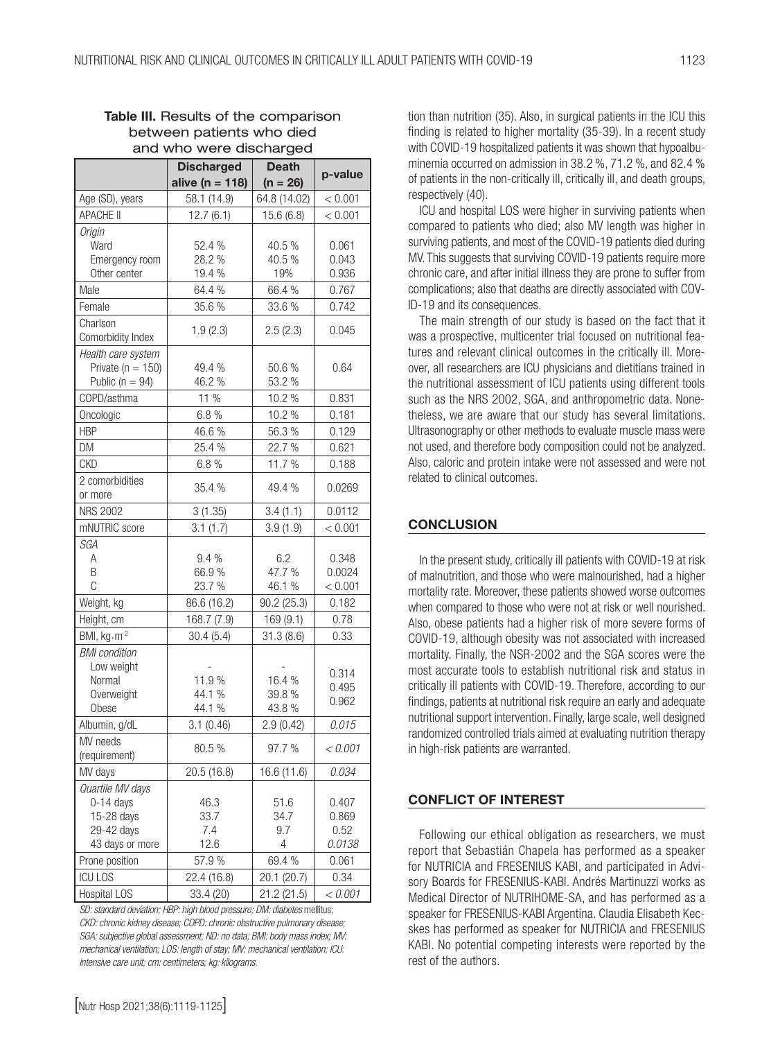|                               |                     | ັ                |         |
|-------------------------------|---------------------|------------------|---------|
|                               | <b>Discharged</b>   | <b>Death</b>     | p-value |
|                               | alive ( $n = 118$ ) | $(n = 26)$       |         |
| Age (SD), years               | 58.1 (14.9)         | 64.8 (14.02)     | < 0.001 |
| <b>APACHE II</b>              | 12.7(6.1)           | 15.6 (6.8)       | < 0.001 |
| Origin                        |                     |                  |         |
| Ward                          | 52.4 %              | 40.5 %           | 0.061   |
| Emergency room                | 28.2 %              | 40.5 %           | 0.043   |
| Other center                  | 19.4 %              | 19%              | 0.936   |
| Male                          | 64.4 %              | 66.4%            | 0.767   |
| Female                        | 35.6%               | 33.6%            | 0.742   |
| Charlson<br>Comorbidity Index | 1.9(2.3)            | 2.5(2.3)         | 0.045   |
| Health care system            |                     |                  |         |
| Private ( $n = 150$ )         | 49.4 %              | 50.6%            | 0.64    |
| Public ( $n = 94$ )           | 46.2%               | 53.2 %           |         |
| COPD/asthma                   | 11 %                | 10.2%            | 0.831   |
| Oncologic                     | 6.8%                | 10.2%            | 0.181   |
| <b>HBP</b>                    | 46.6%               | 56.3%            | 0.129   |
| DM                            | 25.4 %              | 22.7 %           | 0.621   |
| <b>CKD</b>                    | 6.8%                | 11.7%            | 0.188   |
| 2 comorbidities               | 35.4 %              | 49.4%            |         |
| or more                       |                     |                  | 0.0269  |
| <b>NRS 2002</b>               | 3(1.35)             | 3.4(1.1)         | 0.0112  |
| mNUTRIC score                 | 3.1(1.7)            | 3.9(1.9)         | < 0.001 |
| SGA                           |                     |                  |         |
| Α                             | 9.4 %               | 6.2              | 0.348   |
| B                             | 66.9%               | 47.7 %           | 0.0024  |
| C                             | 23.7 %              | 46.1 %           | < 0.001 |
| Weight, kg                    | 86.6 (16.2)         | 90.2 (25.3)      | 0.182   |
| Height, cm                    | 168.7 (7.9)         | 169 (9.1)        | 0.78    |
| BMI, kg.m <sup>-2</sup>       | 30.4(5.4)           | 31.3(8.6)        | 0.33    |
| <b>BMI</b> condition          |                     |                  |         |
| Low weight                    | 11.9%               |                  | 0.314   |
| Normal<br>Overweight          | 44.1 %              | 16.4 %<br>39.8 % | 0.495   |
| Obese                         | 44.1 %              | 43.8 %           | 0.962   |
| Albumin, g/dL                 | 3.1(0.46)           | 2.9(0.42)        | 0.015   |
| MV needs                      |                     |                  |         |
| (requirement)                 | 80.5 %              | 97.7 %           | < 0.001 |
| MV days                       | 20.5 (16.8)         | 16.6 (11.6)      | 0.034   |
| Quartile MV days              |                     |                  |         |
| $0-14$ days                   | 46.3                | 51.6             | 0.407   |
| 15-28 days                    | 33.7                | 34.7             | 0.869   |
| 29-42 days                    | 7.4                 | 9.7              | 0.52    |
| 43 days or more               | 12.6                | 4                | 0.0138  |
| Prone position                | 57.9 %              | 69.4%            | 0.061   |
| <b>ICU LOS</b>                | 22.4 (16.8)         | 20.1 (20.7)      | 0.34    |
| <b>Hospital LOS</b>           | 33.4 (20)           | 21.2(21.5)       | < 0.001 |

### Table III. Results of the comparison between patients who died and who were discharged

*SD: standard deviation; HBP: high blood pressure; DM: diabetes* mellitus; *CKD: chronic kidney disease; COPD: chronic obstructive pulmonary disease; SGA: subjective global assessment; ND: no data; BMI: body mass index; MV: mechanical ventilation; LOS: length of stay; MV: mechanical ventilation; ICU: intensive care unit; cm: centimeters; kg: kilograms.*

tion than nutrition (35). Also, in surgical patients in the ICU this finding is related to higher mortality (35-39). In a recent study with COVID-19 hospitalized patients it was shown that hypoalbuminemia occurred on admission in 38.2 %, 71.2 %, and 82.4 % of patients in the non-critically ill, critically ill, and death groups, respectively (40).

ICU and hospital LOS were higher in surviving patients when compared to patients who died; also MV length was higher in surviving patients, and most of the COVID-19 patients died during MV. This suggests that surviving COVID-19 patients require more chronic care, and after initial illness they are prone to suffer from complications; also that deaths are directly associated with COV-ID-19 and its consequences.

The main strength of our study is based on the fact that it was a prospective, multicenter trial focused on nutritional features and relevant clinical outcomes in the critically ill. Moreover, all researchers are ICU physicians and dietitians trained in the nutritional assessment of ICU patients using different tools such as the NRS 2002, SGA, and anthropometric data. Nonetheless, we are aware that our study has several limitations. Ultrasonography or other methods to evaluate muscle mass were not used, and therefore body composition could not be analyzed. Also, caloric and protein intake were not assessed and were not related to clinical outcomes.

# **CONCLUSION**

In the present study, critically ill patients with COVID-19 at risk of malnutrition, and those who were malnourished, had a higher mortality rate. Moreover, these patients showed worse outcomes when compared to those who were not at risk or well nourished. Also, obese patients had a higher risk of more severe forms of COVID-19, although obesity was not associated with increased mortality. Finally, the NSR-2002 and the SGA scores were the most accurate tools to establish nutritional risk and status in critically ill patients with COVID-19. Therefore, according to our findings, patients at nutritional risk require an early and adequate nutritional support intervention. Finally, large scale, well designed randomized controlled trials aimed at evaluating nutrition therapy in high-risk patients are warranted.

### CONFLICT OF INTEREST

Following our ethical obligation as researchers, we must report that Sebastián Chapela has performed as a speaker for NUTRICIA and FRESENIUS KABI, and participated in Advisory Boards for FRESENIUS-KABI. Andrés Martinuzzi works as Medical Director of NUTRIHOME-SA, and has performed as a speaker for FRESENIUS-KABI Argentina. Claudia Elisabeth Kecskes has performed as speaker for NUTRICIA and FRESENIUS KABI. No potential competing interests were reported by the rest of the authors.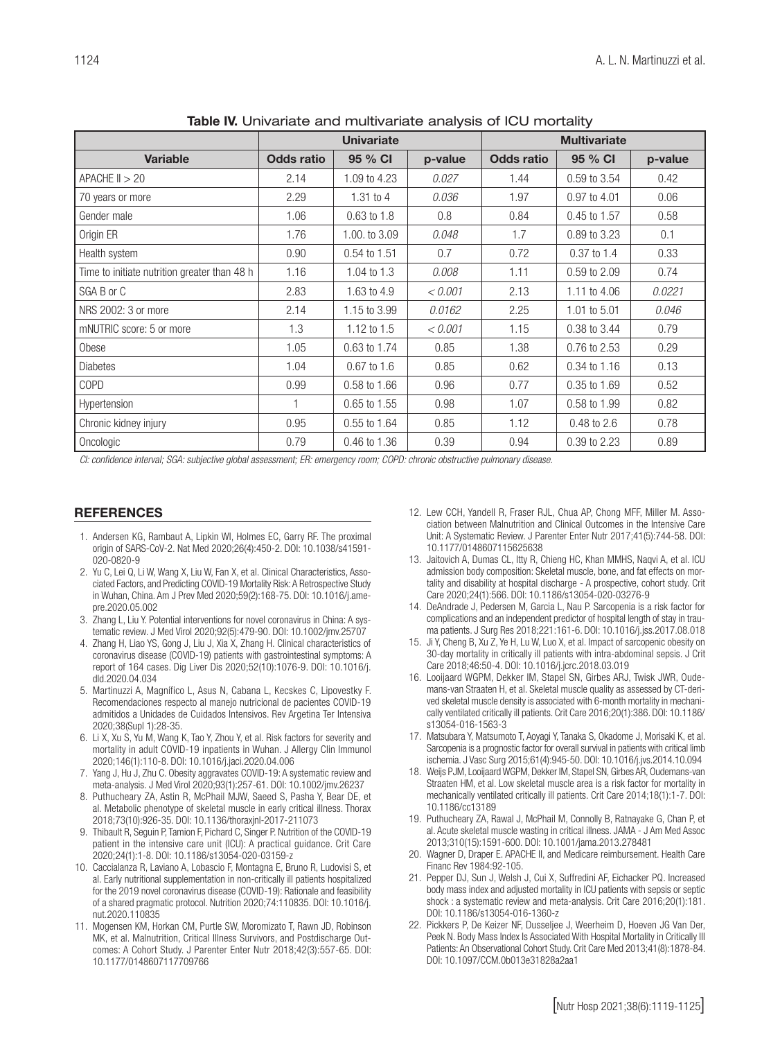|                                              | <b>Univariate</b> |                  |         | <b>Multivariate</b> |                 |         |
|----------------------------------------------|-------------------|------------------|---------|---------------------|-----------------|---------|
| <b>Variable</b>                              | <b>Odds ratio</b> | 95 % CI          | p-value | <b>Odds ratio</b>   | 95 % CI         | p-value |
| $APACHE$ $I > 20$                            | 2.14              | 1.09 to 4.23     | 0.027   | 1.44                | 0.59 to 3.54    | 0.42    |
| 70 years or more                             | 2.29              | 1.31 to 4        | 0.036   | 1.97                | 0.97 to 4.01    | 0.06    |
| Gender male                                  | 1.06              | $0.63$ to $1.8$  | 0.8     | 0.84                | 0.45 to 1.57    | 0.58    |
| Origin ER                                    | 1.76              | 1.00, to 3.09    | 0.048   | 1.7                 | 0.89 to 3.23    | 0.1     |
| Health system                                | 0.90              | 0.54 to 1.51     | 0.7     | 0.72                | $0.37$ to $1.4$ | 0.33    |
| Time to initiate nutrition greater than 48 h | 1.16              | 1.04 to $1.3$    | 0.008   | 1.11                | 0.59 to 2.09    | 0.74    |
| SGA B or C                                   | 2.83              | 1.63 to 4.9      | < 0.001 | 2.13                | 1.11 to 4.06    | 0.0221  |
| NRS 2002: 3 or more                          | 2.14              | 1.15 to 3.99     | 0.0162  | 2.25                | 1.01 to 5.01    | 0.046   |
| mNUTRIC score: 5 or more                     | 1.3               | 1.12 to $1.5$    | < 0.001 | 1.15                | 0.38 to 3.44    | 0.79    |
| Obese                                        | 1.05              | 0.63 to 1.74     | 0.85    | 1.38                | 0.76 to 2.53    | 0.29    |
| <b>Diabetes</b>                              | 1.04              | $0.67$ to $1.6$  | 0.85    | 0.62                | 0.34 to 1.16    | 0.13    |
| COPD                                         | 0.99              | $0.58$ to $1.66$ | 0.96    | 0.77                | 0.35 to 1.69    | 0.52    |
| Hypertension                                 |                   | $0.65$ to $1.55$ | 0.98    | 1.07                | 0.58 to 1.99    | 0.82    |
| Chronic kidney injury                        | 0.95              | 0.55 to 1.64     | 0.85    | 1.12                | 0.48 to 2.6     | 0.78    |
| Oncologic                                    | 0.79              | 0.46 to 1.36     | 0.39    | 0.94                | 0.39 to 2.23    | 0.89    |

Table IV. Univariate and multivariate analysis of ICU mortality

*CI: confidence interval; SGA: subjective global assessment; ER: emergency room; COPD: chronic obstructive pulmonary disease.*

#### **REFERENCES**

- 1. Andersen KG, Rambaut A, Lipkin WI, Holmes EC, Garry RF. The proximal origin of SARS-CoV-2. Nat Med 2020;26(4):450-2. DOI: 10.1038/s41591- 020-0820-9
- 2. Yu C, Lei Q, Li W, Wang X, Liu W, Fan X, et al. Clinical Characteristics, Associated Factors, and Predicting COVID-19 Mortality Risk: A Retrospective Study in Wuhan, China. Am J Prev Med 2020;59(2):168-75. DOI: 10.1016/j.amepre.2020.05.002
- 3. Zhang L, Liu Y. Potential interventions for novel coronavirus in China: A systematic review. J Med Virol 2020;92(5):479-90. DOI: 10.1002/jmv.25707
- 4. Zhang H, Liao YS, Gong J, Liu J, Xia X, Zhang H. Clinical characteristics of coronavirus disease (COVID-19) patients with gastrointestinal symptoms: A report of 164 cases. Dig Liver Dis 2020;52(10):1076-9. DOI: 10.1016/j. dld.2020.04.034
- 5. Martinuzzi A, Magnífico L, Asus N, Cabana L, Kecskes C, Lipovestky F. Recomendaciones respecto al manejo nutricional de pacientes COVID-19 admitidos a Unidades de Cuidados Intensivos. Rev Argetina Ter Intensiva 2020;38(Supl 1):28-35.
- 6. Li X, Xu S, Yu M, Wang K, Tao Y, Zhou Y, et al. Risk factors for severity and mortality in adult COVID-19 inpatients in Wuhan. J Allergy Clin Immunol 2020;146(1):110-8. DOI: 10.1016/j.jaci.2020.04.006
- 7. Yang J, Hu J, Zhu C. Obesity aggravates COVID-19: A systematic review and meta-analysis. J Med Virol 2020;93(1):257-61. DOI: 10.1002/jmv.26237
- 8. Puthucheary ZA, Astin R, McPhail MJW, Saeed S, Pasha Y, Bear DE, et al. Metabolic phenotype of skeletal muscle in early critical illness. Thorax 2018;73(10):926-35. DOI: 10.1136/thoraxjnl-2017-211073
- 9. Thibault R, Seguin P, Tamion F, Pichard C, Singer P. Nutrition of the COVID-19 patient in the intensive care unit (ICU): A practical guidance. Crit Care 2020;24(1):1-8. DOI: 10.1186/s13054-020-03159-z
- 10. Caccialanza R, Laviano A, Lobascio F, Montagna E, Bruno R, Ludovisi S, et al. Early nutritional supplementation in non-critically ill patients hospitalized for the 2019 novel coronavirus disease (COVID-19): Rationale and feasibility of a shared pragmatic protocol. Nutrition 2020;74:110835. DOI: 10.1016/j. nut.2020.110835
- 11. Mogensen KM, Horkan CM, Purtle SW, Moromizato T, Rawn JD, Robinson MK, et al. Malnutrition, Critical Illness Survivors, and Postdischarge Outcomes: A Cohort Study. J Parenter Enter Nutr 2018;42(3):557-65. DOI: 10.1177/0148607117709766
- 12. Lew CCH, Yandell R, Fraser RJL, Chua AP, Chong MFF, Miller M. Association between Malnutrition and Clinical Outcomes in the Intensive Care Unit: A Systematic Review. J Parenter Enter Nutr 2017;41(5):744-58. DOI: 10.1177/0148607115625638
- 13. Jaitovich A, Dumas CL, Itty R, Chieng HC, Khan MMHS, Naqvi A, et al. ICU admission body composition: Skeletal muscle, bone, and fat effects on mortality and disability at hospital discharge - A prospective, cohort study. Crit Care 2020;24(1):566. DOI: 10.1186/s13054-020-03276-9
- 14. DeAndrade J, Pedersen M, Garcia L, Nau P. Sarcopenia is a risk factor for complications and an independent predictor of hospital length of stay in trauma patients. J Surg Res 2018;221:161-6. DOI: 10.1016/j.jss.2017.08.018
- 15. Ji Y, Cheng B, Xu Z, Ye H, Lu W, Luo X, et al. Impact of sarcopenic obesity on 30-day mortality in critically ill patients with intra-abdominal sepsis. J Crit Care 2018;46:50-4. DOI: 10.1016/j.jcrc.2018.03.019
- 16. Looijaard WGPM, Dekker IM, Stapel SN, Girbes ARJ, Twisk JWR, Oudemans-van Straaten H, et al. Skeletal muscle quality as assessed by CT-derived skeletal muscle density is associated with 6-month mortality in mechanically ventilated critically ill patients. Crit Care 2016;20(1):386. DOI: 10.1186/ s13054-016-1563-3
- 17. Matsubara Y, Matsumoto T, Aoyagi Y, Tanaka S, Okadome J, Morisaki K, et al. Sarcopenia is a prognostic factor for overall survival in patients with critical limb ischemia. J Vasc Surg 2015;61(4):945-50. DOI: 10.1016/j.jvs.2014.10.094
- 18. Weijs PJM, Looijaard WGPM, Dekker IM, Stapel SN, Girbes AR, Oudemans-van Straaten HM, et al. Low skeletal muscle area is a risk factor for mortality in mechanically ventilated critically ill patients. Crit Care 2014;18(1):1-7. DOI: 10.1186/cc13189
- 19. Puthucheary ZA, Rawal J, McPhail M, Connolly B, Ratnayake G, Chan P, et al. Acute skeletal muscle wasting in critical illness. JAMA - J Am Med Assoc 2013;310(15):1591-600. DOI: 10.1001/jama.2013.278481
- 20. Wagner D, Draper E. APACHE II, and Medicare reimbursement. Health Care Financ Rev 1984:92-105.
- 21. Pepper DJ, Sun J, Welsh J, Cui X, Suffredini AF, Eichacker PQ. Increased body mass index and adjusted mortality in ICU patients with sepsis or septic shock : a systematic review and meta-analysis. Crit Care 2016;20(1):181. DOI: 10.1186/s13054-016-1360-z
- 22. Pickkers P, De Keizer NF, Dusseljee J, Weerheim D, Hoeven JG Van Der, Peek N. Body Mass Index Is Associated With Hospital Mortality in Critically III Patients: An Observational Cohort Study. Crit Care Med 2013;41(8):1878-84. DOI: 10.1097/CCM.0b013e31828a2aa1